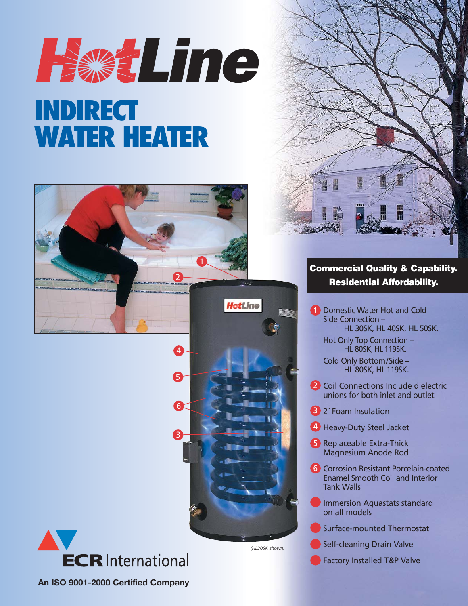# Have Line **INDIRECT WATER HEATER**





*(HL30SK shown)*





## **Commercial Quality & Capability. Residential Affordability.**

**1** Domestic Water Hot and Cold Side Connection – HL 30SK, HL 40SK, HL 50SK.

Hot Only Top Connection – **HL 80SK, HL 119SK.** 

Cold Only Bottom/Side – HL 80SK, HL119SK.

- 2 Coil Connections Include dielectric unions for both inlet and outlet
- **3** 2" Foam Insulation
- 4 Heavy-Duty Steel Jacket
- 5 Replaceable Extra-Thick Magnesium Anode Rod
- **6** Corrosion Resistant Porcelain-coated Enamel Smooth Coil and Interior Tank Walls
- Immersion Aquastats standard on all models
- Surface-mounted Thermostat
- Self-cleaning Drain Valve
- Factory Installed T&P Valve

**An ISO 9001-2000 Certified Company**